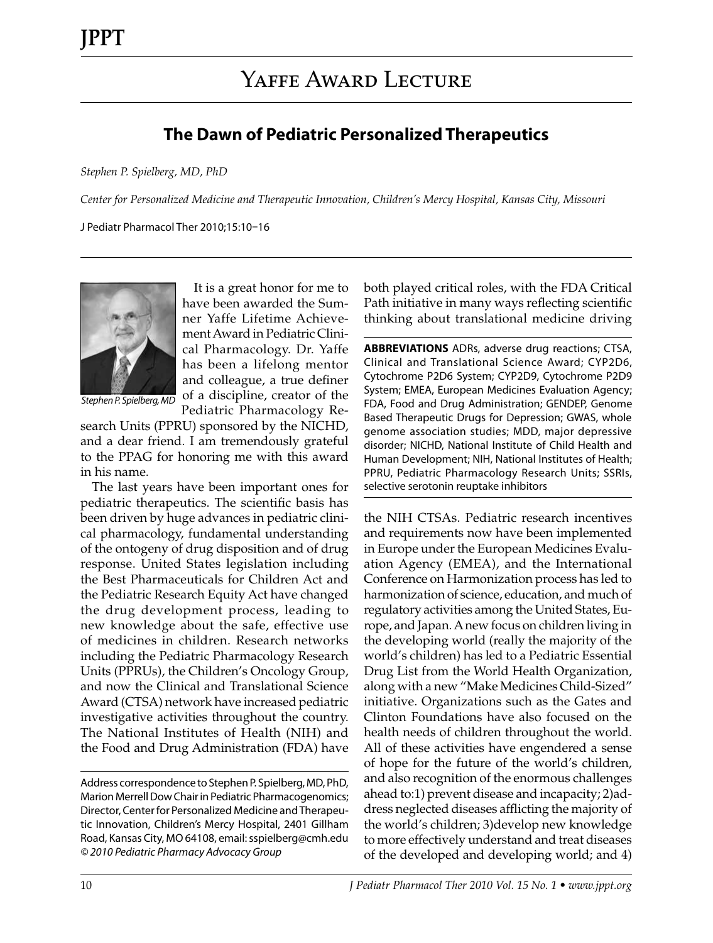## **The Dawn of Pediatric Personalized Therapeutics**

*Stephen P. Spielberg, MD, PhD*

*Center for Personalized Medicine and Therapeutic Innovation, Children's Mercy Hospital, Kansas City, Missouri*

J Pediatr Pharmacol Ther 2010;15:10–16



It is a great honor for me to have been awarded the Sumner Yaffe Lifetime Achievement Award in Pediatric Clinical Pharmacology. Dr. Yaffe has been a lifelong mentor and colleague, a true definer of a discipline, creator of the Pediatric Pharmacology Re-

*Stephen P. Spielberg, MD*

search Units (PPRU) sponsored by the NICHD, and a dear friend. I am tremendously grateful to the PPAG for honoring me with this award in his name.

The last years have been important ones for pediatric therapeutics. The scientific basis has been driven by huge advances in pediatric clinical pharmacology, fundamental understanding of the ontogeny of drug disposition and of drug response. United States legislation including the Best Pharmaceuticals for Children Act and the Pediatric Research Equity Act have changed the drug development process, leading to new knowledge about the safe, effective use of medicines in children. Research networks including the Pediatric Pharmacology Research Units (PPRUs), the Children's Oncology Group, and now the Clinical and Translational Science Award (CTSA) network have increased pediatric investigative activities throughout the country. The National Institutes of Health (NIH) and the Food and Drug Administration (FDA) have

Address correspondence to Stephen P. Spielberg, MD, PhD, Marion Merrell Dow Chair in Pediatric Pharmacogenomics; Director, Center for Personalized Medicine and Therapeutic Innovation, Children's Mercy Hospital, 2401 Gillham Road, Kansas City, MO 64108, email: sspielberg@cmh.edu *© 2010 Pediatric Pharmacy Advocacy Group*

both played critical roles, with the FDA Critical Path initiative in many ways reflecting scientific thinking about translational medicine driving

**ABBREVIATIONS** ADRs, adverse drug reactions; CTSA, Clinical and Translational Science Award; CYP2D6, Cytochrome P2D6 System; CYP2D9, Cytochrome P2D9 System; EMEA, European Medicines Evaluation Agency; FDA, Food and Drug Administration; GENDEP, Genome Based Therapeutic Drugs for Depression; GWAS, whole genome association studies; MDD, major depressive disorder; NICHD, National Institute of Child Health and Human Development; NIH, National Institutes of Health; PPRU, Pediatric Pharmacology Research Units; SSRIs, selective serotonin reuptake inhibitors

the NIH CTSAs. Pediatric research incentives and requirements now have been implemented in Europe under the European Medicines Evaluation Agency (EMEA), and the International Conference on Harmonization process has led to harmonization of science, education, and much of regulatory activities among the United States, Europe, and Japan. A new focus on children living in the developing world (really the majority of the world's children) has led to a Pediatric Essential Drug List from the World Health Organization, along with a new "Make Medicines Child-Sized" initiative. Organizations such as the Gates and Clinton Foundations have also focused on the health needs of children throughout the world. All of these activities have engendered a sense of hope for the future of the world's children, and also recognition of the enormous challenges ahead to:1) prevent disease and incapacity; 2)address neglected diseases afflicting the majority of the world's children; 3)develop new knowledge to more effectively understand and treat diseases of the developed and developing world; and 4)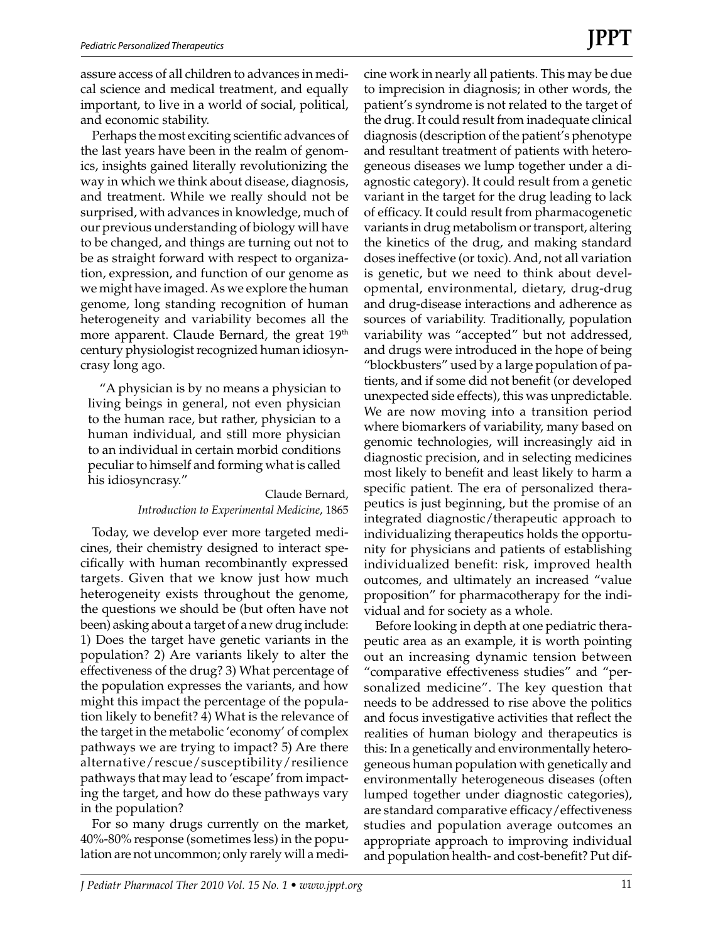assure access of all children to advances in medical science and medical treatment, and equally important, to live in a world of social, political, and economic stability.

Perhaps the most exciting scientific advances of the last years have been in the realm of genomics, insights gained literally revolutionizing the way in which we think about disease, diagnosis, and treatment. While we really should not be surprised, with advances in knowledge, much of our previous understanding of biology will have to be changed, and things are turning out not to be as straight forward with respect to organization, expression, and function of our genome as we might have imaged. As we explore the human genome, long standing recognition of human heterogeneity and variability becomes all the more apparent. Claude Bernard, the great 19<sup>th</sup> century physiologist recognized human idiosyncrasy long ago.

"A physician is by no means a physician to living beings in general, not even physician to the human race, but rather, physician to a human individual, and still more physician to an individual in certain morbid conditions peculiar to himself and forming what is called his idiosyncrasy."

> Claude Bernard, *Introduction to Experimental Medicine*, 1865

Today, we develop ever more targeted medicines, their chemistry designed to interact specifically with human recombinantly expressed targets. Given that we know just how much heterogeneity exists throughout the genome, the questions we should be (but often have not been) asking about a target of a new drug include: 1) Does the target have genetic variants in the population? 2) Are variants likely to alter the effectiveness of the drug? 3) What percentage of the population expresses the variants, and how might this impact the percentage of the population likely to benefit? 4) What is the relevance of the target in the metabolic 'economy' of complex pathways we are trying to impact? 5) Are there alternative/rescue/susceptibility/resilience pathways that may lead to 'escape' from impacting the target, and how do these pathways vary in the population?

For so many drugs currently on the market, 40%-80% response (sometimes less) in the population are not uncommon; only rarely will a medicine work in nearly all patients. This may be due to imprecision in diagnosis; in other words, the patient's syndrome is not related to the target of the drug. It could result from inadequate clinical diagnosis (description of the patient's phenotype and resultant treatment of patients with heterogeneous diseases we lump together under a diagnostic category). It could result from a genetic variant in the target for the drug leading to lack of efficacy. It could result from pharmacogenetic variants in drug metabolism or transport, altering the kinetics of the drug, and making standard doses ineffective (or toxic). And, not all variation is genetic, but we need to think about developmental, environmental, dietary, drug-drug and drug-disease interactions and adherence as sources of variability. Traditionally, population variability was "accepted" but not addressed, and drugs were introduced in the hope of being "blockbusters" used by a large population of patients, and if some did not benefit (or developed unexpected side effects), this was unpredictable. We are now moving into a transition period where biomarkers of variability, many based on genomic technologies, will increasingly aid in diagnostic precision, and in selecting medicines most likely to benefit and least likely to harm a specific patient. The era of personalized therapeutics is just beginning, but the promise of an integrated diagnostic/therapeutic approach to individualizing therapeutics holds the opportunity for physicians and patients of establishing individualized benefit: risk, improved health outcomes, and ultimately an increased "value proposition" for pharmacotherapy for the individual and for society as a whole.

Before looking in depth at one pediatric therapeutic area as an example, it is worth pointing out an increasing dynamic tension between "comparative effectiveness studies" and "personalized medicine". The key question that needs to be addressed to rise above the politics and focus investigative activities that reflect the realities of human biology and therapeutics is this: In a genetically and environmentally heterogeneous human population with genetically and environmentally heterogeneous diseases (often lumped together under diagnostic categories), are standard comparative efficacy/effectiveness studies and population average outcomes an appropriate approach to improving individual and population health- and cost-benefit? Put dif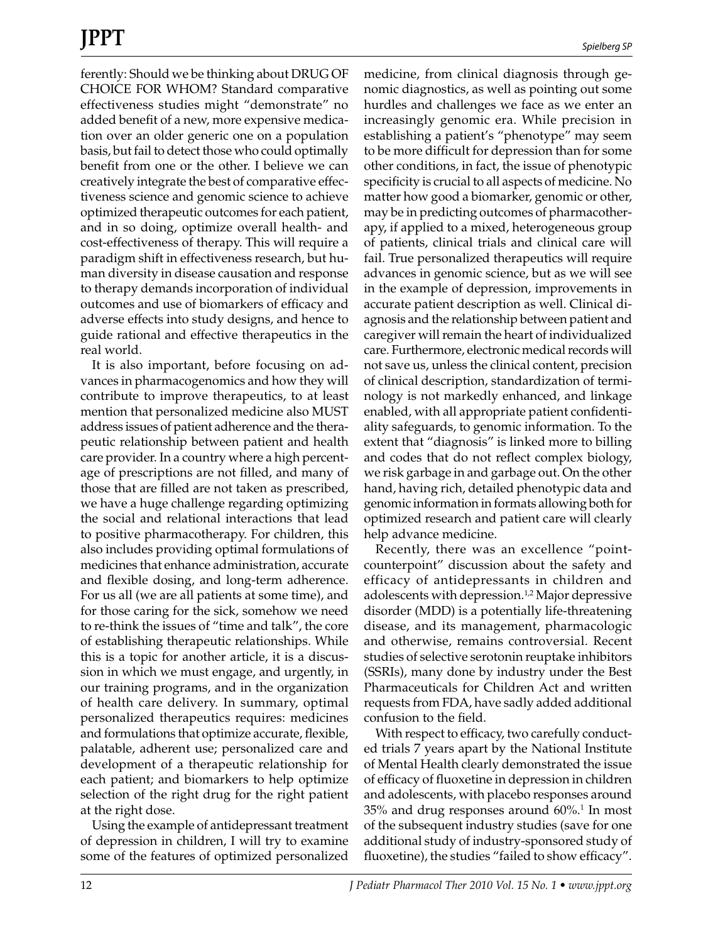ferently: Should we be thinking about DRUG OF CHOICE FOR WHOM? Standard comparative effectiveness studies might "demonstrate" no added benefit of a new, more expensive medication over an older generic one on a population basis, but fail to detect those who could optimally benefit from one or the other. I believe we can creatively integrate the best of comparative effectiveness science and genomic science to achieve optimized therapeutic outcomes for each patient, and in so doing, optimize overall health- and cost-effectiveness of therapy. This will require a paradigm shift in effectiveness research, but human diversity in disease causation and response to therapy demands incorporation of individual outcomes and use of biomarkers of efficacy and adverse effects into study designs, and hence to guide rational and effective therapeutics in the real world.

It is also important, before focusing on advances in pharmacogenomics and how they will contribute to improve therapeutics, to at least mention that personalized medicine also MUST address issues of patient adherence and the therapeutic relationship between patient and health care provider. In a country where a high percentage of prescriptions are not filled, and many of those that are filled are not taken as prescribed, we have a huge challenge regarding optimizing the social and relational interactions that lead to positive pharmacotherapy. For children, this also includes providing optimal formulations of medicines that enhance administration, accurate and flexible dosing, and long-term adherence. For us all (we are all patients at some time), and for those caring for the sick, somehow we need to re-think the issues of "time and talk", the core of establishing therapeutic relationships. While this is a topic for another article, it is a discussion in which we must engage, and urgently, in our training programs, and in the organization of health care delivery. In summary, optimal personalized therapeutics requires: medicines and formulations that optimize accurate, flexible, palatable, adherent use; personalized care and development of a therapeutic relationship for each patient; and biomarkers to help optimize selection of the right drug for the right patient at the right dose.

Using the example of antidepressant treatment of depression in children, I will try to examine some of the features of optimized personalized medicine, from clinical diagnosis through genomic diagnostics, as well as pointing out some hurdles and challenges we face as we enter an increasingly genomic era. While precision in establishing a patient's "phenotype" may seem to be more difficult for depression than for some other conditions, in fact, the issue of phenotypic specificity is crucial to all aspects of medicine. No matter how good a biomarker, genomic or other, may be in predicting outcomes of pharmacotherapy, if applied to a mixed, heterogeneous group of patients, clinical trials and clinical care will fail. True personalized therapeutics will require advances in genomic science, but as we will see in the example of depression, improvements in accurate patient description as well. Clinical diagnosis and the relationship between patient and caregiver will remain the heart of individualized care. Furthermore, electronic medical records will not save us, unless the clinical content, precision of clinical description, standardization of terminology is not markedly enhanced, and linkage enabled, with all appropriate patient confidentiality safeguards, to genomic information. To the extent that "diagnosis" is linked more to billing and codes that do not reflect complex biology, we risk garbage in and garbage out. On the other hand, having rich, detailed phenotypic data and genomic information in formats allowing both for optimized research and patient care will clearly help advance medicine.

Recently, there was an excellence "pointcounterpoint" discussion about the safety and efficacy of antidepressants in children and adolescents with depression.<sup>1,2</sup> Major depressive disorder (MDD) is a potentially life-threatening disease, and its management, pharmacologic and otherwise, remains controversial. Recent studies of selective serotonin reuptake inhibitors (SSRIs), many done by industry under the Best Pharmaceuticals for Children Act and written requests from FDA, have sadly added additional confusion to the field.

With respect to efficacy, two carefully conducted trials 7 years apart by the National Institute of Mental Health clearly demonstrated the issue of efficacy of fluoxetine in depression in children and adolescents, with placebo responses around  $35\%$  and drug responses around  $60\%$ <sup>1</sup> In most of the subsequent industry studies (save for one additional study of industry-sponsored study of fluoxetine), the studies "failed to show efficacy".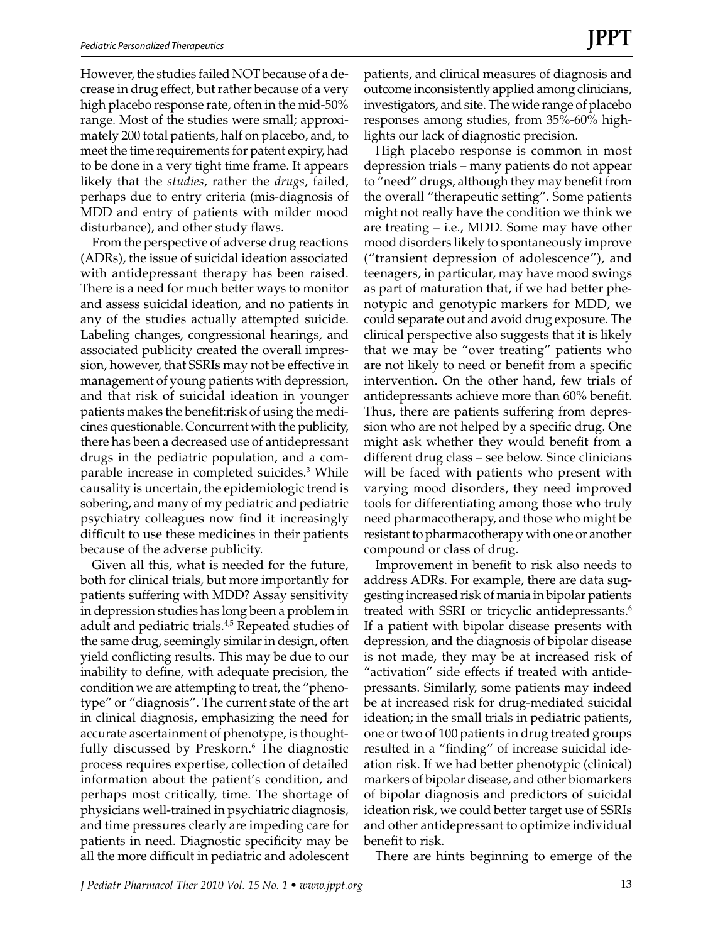However, the studies failed NOT because of a decrease in drug effect, but rather because of a very high placebo response rate, often in the mid-50% range. Most of the studies were small; approximately 200 total patients, half on placebo, and, to meet the time requirements for patent expiry, had to be done in a very tight time frame. It appears likely that the *studies*, rather the *drugs*, failed, perhaps due to entry criteria (mis-diagnosis of MDD and entry of patients with milder mood disturbance), and other study flaws.

From the perspective of adverse drug reactions (ADRs), the issue of suicidal ideation associated with antidepressant therapy has been raised. There is a need for much better ways to monitor and assess suicidal ideation, and no patients in any of the studies actually attempted suicide. Labeling changes, congressional hearings, and associated publicity created the overall impression, however, that SSRIs may not be effective in management of young patients with depression, and that risk of suicidal ideation in younger patients makes the benefit:risk of using the medicines questionable. Concurrent with the publicity, there has been a decreased use of antidepressant drugs in the pediatric population, and a comparable increase in completed suicides.3 While causality is uncertain, the epidemiologic trend is sobering, and many of my pediatric and pediatric psychiatry colleagues now find it increasingly difficult to use these medicines in their patients because of the adverse publicity.

Given all this, what is needed for the future, both for clinical trials, but more importantly for patients suffering with MDD? Assay sensitivity in depression studies has long been a problem in adult and pediatric trials.<sup>4,5</sup> Repeated studies of the same drug, seemingly similar in design, often yield conflicting results. This may be due to our inability to define, with adequate precision, the condition we are attempting to treat, the "phenotype" or "diagnosis". The current state of the art in clinical diagnosis, emphasizing the need for accurate ascertainment of phenotype, is thoughtfully discussed by Preskorn.<sup>6</sup> The diagnostic process requires expertise, collection of detailed information about the patient's condition, and perhaps most critically, time. The shortage of physicians well-trained in psychiatric diagnosis, and time pressures clearly are impeding care for patients in need. Diagnostic specificity may be all the more difficult in pediatric and adolescent

patients, and clinical measures of diagnosis and outcome inconsistently applied among clinicians, investigators, and site. The wide range of placebo responses among studies, from 35%-60% highlights our lack of diagnostic precision.

High placebo response is common in most depression trials – many patients do not appear to "need" drugs, although they may benefit from the overall "therapeutic setting". Some patients might not really have the condition we think we are treating – i.e., MDD. Some may have other mood disorders likely to spontaneously improve ("transient depression of adolescence"), and teenagers, in particular, may have mood swings as part of maturation that, if we had better phenotypic and genotypic markers for MDD, we could separate out and avoid drug exposure. The clinical perspective also suggests that it is likely that we may be "over treating" patients who are not likely to need or benefit from a specific intervention. On the other hand, few trials of antidepressants achieve more than 60% benefit. Thus, there are patients suffering from depression who are not helped by a specific drug. One might ask whether they would benefit from a different drug class – see below. Since clinicians will be faced with patients who present with varying mood disorders, they need improved tools for differentiating among those who truly need pharmacotherapy, and those who might be resistant to pharmacotherapy with one or another compound or class of drug.

Improvement in benefit to risk also needs to address ADRs. For example, there are data suggesting increased risk of mania in bipolar patients treated with SSRI or tricyclic antidepressants.<sup>6</sup> If a patient with bipolar disease presents with depression, and the diagnosis of bipolar disease is not made, they may be at increased risk of "activation" side effects if treated with antidepressants. Similarly, some patients may indeed be at increased risk for drug-mediated suicidal ideation; in the small trials in pediatric patients, one or two of 100 patients in drug treated groups resulted in a "finding" of increase suicidal ideation risk. If we had better phenotypic (clinical) markers of bipolar disease, and other biomarkers of bipolar diagnosis and predictors of suicidal ideation risk, we could better target use of SSRIs and other antidepressant to optimize individual benefit to risk.

There are hints beginning to emerge of the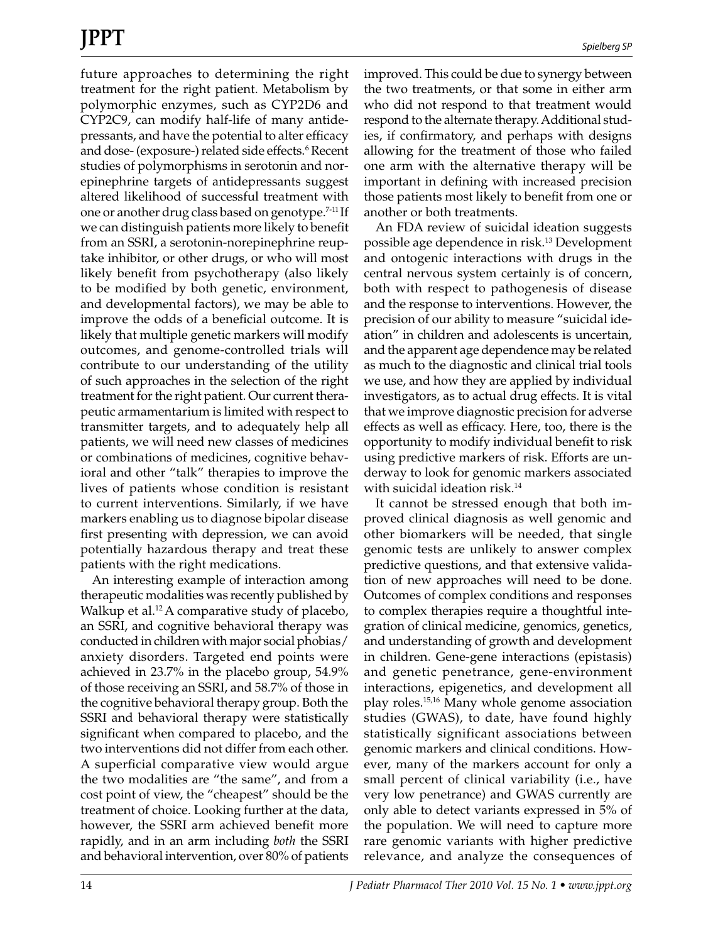future approaches to determining the right treatment for the right patient. Metabolism by polymorphic enzymes, such as CYP2D6 and CYP2C9, can modify half-life of many antidepressants, and have the potential to alter efficacy and dose- (exposure-) related side effects.<sup>6</sup> Recent studies of polymorphisms in serotonin and norepinephrine targets of antidepressants suggest altered likelihood of successful treatment with one or another drug class based on genotype.7-11 If we can distinguish patients more likely to benefit from an SSRI, a serotonin-norepinephrine reuptake inhibitor, or other drugs, or who will most likely benefit from psychotherapy (also likely to be modified by both genetic, environment, and developmental factors), we may be able to improve the odds of a beneficial outcome. It is likely that multiple genetic markers will modify outcomes, and genome-controlled trials will contribute to our understanding of the utility of such approaches in the selection of the right treatment for the right patient. Our current therapeutic armamentarium is limited with respect to transmitter targets, and to adequately help all patients, we will need new classes of medicines or combinations of medicines, cognitive behavioral and other "talk" therapies to improve the lives of patients whose condition is resistant to current interventions. Similarly, if we have markers enabling us to diagnose bipolar disease first presenting with depression, we can avoid potentially hazardous therapy and treat these patients with the right medications.

An interesting example of interaction among therapeutic modalities was recently published by Walkup et al.<sup>12</sup> A comparative study of placebo, an SSRI, and cognitive behavioral therapy was conducted in children with major social phobias/ anxiety disorders. Targeted end points were achieved in 23.7% in the placebo group, 54.9% of those receiving an SSRI, and 58.7% of those in the cognitive behavioral therapy group. Both the SSRI and behavioral therapy were statistically significant when compared to placebo, and the two interventions did not differ from each other. A superficial comparative view would argue the two modalities are "the same", and from a cost point of view, the "cheapest" should be the treatment of choice. Looking further at the data, however, the SSRI arm achieved benefit more rapidly, and in an arm including *both* the SSRI and behavioral intervention, over 80% of patients improved. This could be due to synergy between the two treatments, or that some in either arm who did not respond to that treatment would respond to the alternate therapy. Additional studies, if confirmatory, and perhaps with designs allowing for the treatment of those who failed one arm with the alternative therapy will be important in defining with increased precision those patients most likely to benefit from one or another or both treatments.

An FDA review of suicidal ideation suggests possible age dependence in risk.13 Development and ontogenic interactions with drugs in the central nervous system certainly is of concern, both with respect to pathogenesis of disease and the response to interventions. However, the precision of our ability to measure "suicidal ideation" in children and adolescents is uncertain, and the apparent age dependence may be related as much to the diagnostic and clinical trial tools we use, and how they are applied by individual investigators, as to actual drug effects. It is vital that we improve diagnostic precision for adverse effects as well as efficacy. Here, too, there is the opportunity to modify individual benefit to risk using predictive markers of risk. Efforts are underway to look for genomic markers associated with suicidal ideation risk.14

It cannot be stressed enough that both improved clinical diagnosis as well genomic and other biomarkers will be needed, that single genomic tests are unlikely to answer complex predictive questions, and that extensive validation of new approaches will need to be done. Outcomes of complex conditions and responses to complex therapies require a thoughtful integration of clinical medicine, genomics, genetics, and understanding of growth and development in children. Gene-gene interactions (epistasis) and genetic penetrance, gene-environment interactions, epigenetics, and development all play roles.15,16 Many whole genome association studies (GWAS), to date, have found highly statistically significant associations between genomic markers and clinical conditions. However, many of the markers account for only a small percent of clinical variability (i.e., have very low penetrance) and GWAS currently are only able to detect variants expressed in 5% of the population. We will need to capture more rare genomic variants with higher predictive relevance, and analyze the consequences of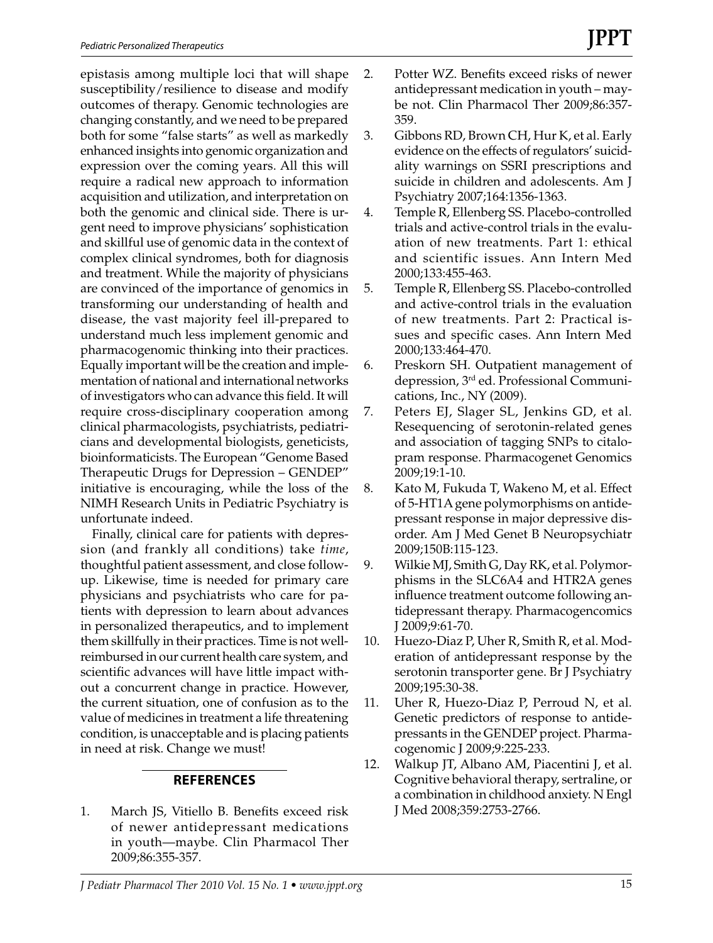epistasis among multiple loci that will shape susceptibility/resilience to disease and modify outcomes of therapy. Genomic technologies are changing constantly, and we need to be prepared both for some "false starts" as well as markedly enhanced insights into genomic organization and expression over the coming years. All this will require a radical new approach to information acquisition and utilization, and interpretation on both the genomic and clinical side. There is urgent need to improve physicians' sophistication and skillful use of genomic data in the context of complex clinical syndromes, both for diagnosis and treatment. While the majority of physicians are convinced of the importance of genomics in transforming our understanding of health and disease, the vast majority feel ill-prepared to understand much less implement genomic and pharmacogenomic thinking into their practices. Equally important will be the creation and implementation of national and international networks of investigators who can advance this field. It will require cross-disciplinary cooperation among clinical pharmacologists, psychiatrists, pediatricians and developmental biologists, geneticists, bioinformaticists. The European "Genome Based Therapeutic Drugs for Depression – GENDEP" initiative is encouraging, while the loss of the NIMH Research Units in Pediatric Psychiatry is unfortunate indeed.

Finally, clinical care for patients with depression (and frankly all conditions) take *time*, thoughtful patient assessment, and close followup. Likewise, time is needed for primary care physicians and psychiatrists who care for patients with depression to learn about advances in personalized therapeutics, and to implement them skillfully in their practices. Time is not wellreimbursed in our current health care system, and scientific advances will have little impact without a concurrent change in practice. However, the current situation, one of confusion as to the value of medicines in treatment a life threatening condition, is unacceptable and is placing patients in need at risk. Change we must!

## **REFERENCES**

1. March JS, Vitiello B. Benefits exceed risk of newer antidepressant medications in youth—maybe. Clin Pharmacol Ther 2009;86:355-357.

- 2. Potter WZ. Benefits exceed risks of newer antidepressant medication in youth – maybe not. Clin Pharmacol Ther 2009;86:357- 359.
- 3. Gibbons RD, Brown CH, Hur K, et al. Early evidence on the effects of regulators' suicidality warnings on SSRI prescriptions and suicide in children and adolescents. Am J Psychiatry 2007;164:1356-1363.
- 4. Temple R, Ellenberg SS. Placebo-controlled trials and active-control trials in the evaluation of new treatments. Part 1: ethical and scientific issues. Ann Intern Med 2000;133:455-463.
- 5. Temple R, Ellenberg SS. Placebo-controlled and active-control trials in the evaluation of new treatments. Part 2: Practical issues and specific cases. Ann Intern Med 2000;133:464-470.
- 6. Preskorn SH. Outpatient management of depression, 3rd ed. Professional Communications, Inc., NY (2009).
- 7. Peters EJ, Slager SL, Jenkins GD, et al. Resequencing of serotonin-related genes and association of tagging SNPs to citalopram response. Pharmacogenet Genomics 2009;19:1-10.
- 8. Kato M, Fukuda T, Wakeno M, et al. Effect of 5-HT1A gene polymorphisms on antidepressant response in major depressive disorder. Am J Med Genet B Neuropsychiatr 2009;150B:115-123.
- 9. Wilkie MJ, Smith G, Day RK, et al. Polymorphisms in the SLC6A4 and HTR2A genes influence treatment outcome following antidepressant therapy. Pharmacogencomics J 2009;9:61-70.
- 10. Huezo-Diaz P, Uher R, Smith R, et al. Moderation of antidepressant response by the serotonin transporter gene. Br J Psychiatry 2009;195:30-38.
- 11. Uher R, Huezo-Diaz P, Perroud N, et al. Genetic predictors of response to antidepressants in the GENDEP project. Pharmacogenomic J 2009;9:225-233.
- 12. Walkup JT, Albano AM, Piacentini J, et al. Cognitive behavioral therapy, sertraline, or a combination in childhood anxiety. N Engl J Med 2008;359:2753-2766.